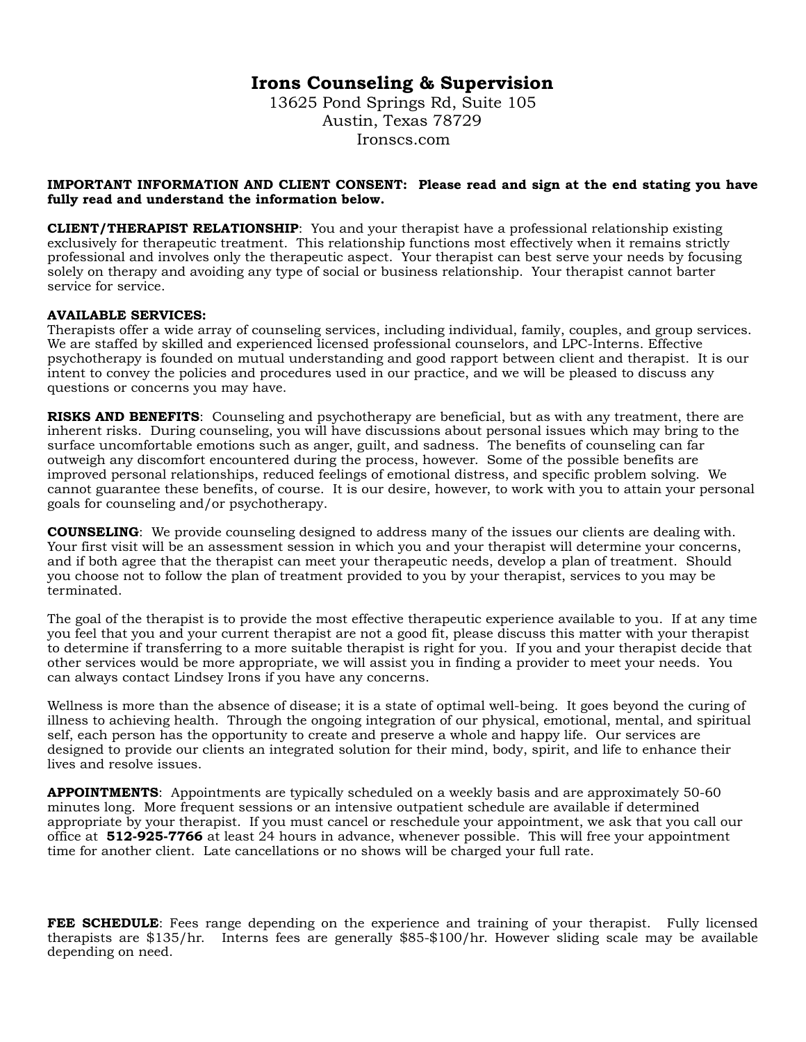## **Irons Counseling & Supervision**  13625 Pond Springs Rd, Suite 105 Austin, Texas 78729

Ironscs.com

## **IMPORTANT INFORMATION AND CLIENT CONSENT: Please read and sign at the end stating you have fully read and understand the information below.**

**CLIENT/THERAPIST RELATIONSHIP**: You and your therapist have a professional relationship existing exclusively for therapeutic treatment. This relationship functions most effectively when it remains strictly professional and involves only the therapeutic aspect. Your therapist can best serve your needs by focusing solely on therapy and avoiding any type of social or business relationship. Your therapist cannot barter service for service.

## **AVAILABLE SERVICES:**

Therapists offer a wide array of counseling services, including individual, family, couples, and group services. We are staffed by skilled and experienced licensed professional counselors, and LPC-Interns. Effective psychotherapy is founded on mutual understanding and good rapport between client and therapist. It is our intent to convey the policies and procedures used in our practice, and we will be pleased to discuss any questions or concerns you may have.

**RISKS AND BENEFITS**: Counseling and psychotherapy are beneficial, but as with any treatment, there are inherent risks. During counseling, you will have discussions about personal issues which may bring to the surface uncomfortable emotions such as anger, guilt, and sadness. The benefits of counseling can far outweigh any discomfort encountered during the process, however. Some of the possible benefits are improved personal relationships, reduced feelings of emotional distress, and specific problem solving. We cannot guarantee these benefits, of course. It is our desire, however, to work with you to attain your personal goals for counseling and/or psychotherapy.

**COUNSELING**: We provide counseling designed to address many of the issues our clients are dealing with. Your first visit will be an assessment session in which you and your therapist will determine your concerns, and if both agree that the therapist can meet your therapeutic needs, develop a plan of treatment. Should you choose not to follow the plan of treatment provided to you by your therapist, services to you may be terminated.

The goal of the therapist is to provide the most effective therapeutic experience available to you. If at any time you feel that you and your current therapist are not a good fit, please discuss this matter with your therapist to determine if transferring to a more suitable therapist is right for you. If you and your therapist decide that other services would be more appropriate, we will assist you in finding a provider to meet your needs. You can always contact Lindsey Irons if you have any concerns.

Wellness is more than the absence of disease; it is a state of optimal well-being. It goes beyond the curing of illness to achieving health. Through the ongoing integration of our physical, emotional, mental, and spiritual self, each person has the opportunity to create and preserve a whole and happy life. Our services are designed to provide our clients an integrated solution for their mind, body, spirit, and life to enhance their lives and resolve issues.

**APPOINTMENTS**: Appointments are typically scheduled on a weekly basis and are approximately 50-60 minutes long. More frequent sessions or an intensive outpatient schedule are available if determined appropriate by your therapist. If you must cancel or reschedule your appointment, we ask that you call our office at **512-925-7766** at least 24 hours in advance, whenever possible. This will free your appointment time for another client. Late cancellations or no shows will be charged your full rate.

**FEE SCHEDULE**: Fees range depending on the experience and training of your therapist. Fully licensed therapists are \$135/hr. Interns fees are generally \$85-\$100/hr. However sliding scale may be available depending on need.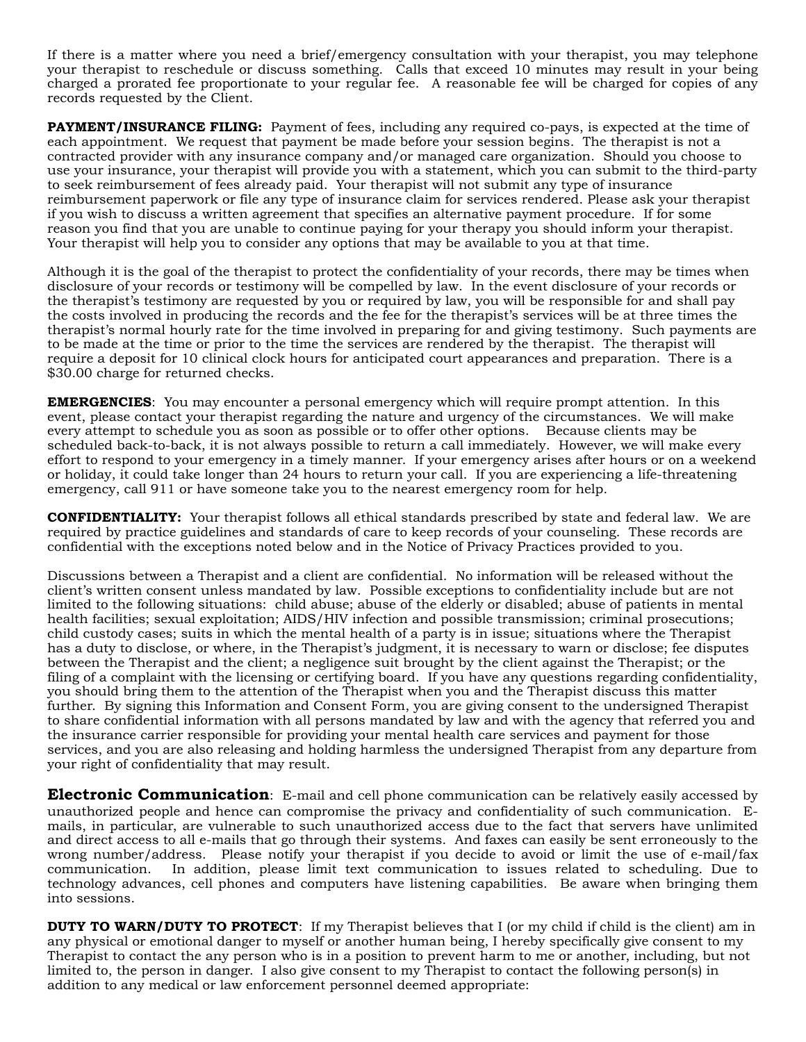If there is a matter where you need a brief/emergency consultation with your therapist, you may telephone your therapist to reschedule or discuss something. Calls that exceed 10 minutes may result in your being charged a prorated fee proportionate to your regular fee. A reasonable fee will be charged for copies of any records requested by the Client.

**PAYMENT/INSURANCE FILING:** Payment of fees, including any required co-pays, is expected at the time of each appointment. We request that payment be made before your session begins. The therapist is not a contracted provider with any insurance company and/or managed care organization. Should you choose to use your insurance, your therapist will provide you with a statement, which you can submit to the third-party to seek reimbursement of fees already paid. Your therapist will not submit any type of insurance reimbursement paperwork or file any type of insurance claim for services rendered. Please ask your therapist if you wish to discuss a written agreement that specifies an alternative payment procedure. If for some reason you find that you are unable to continue paying for your therapy you should inform your therapist. Your therapist will help you to consider any options that may be available to you at that time.

Although it is the goal of the therapist to protect the confidentiality of your records, there may be times when disclosure of your records or testimony will be compelled by law. In the event disclosure of your records or the therapist's testimony are requested by you or required by law, you will be responsible for and shall pay the costs involved in producing the records and the fee for the therapist's services will be at three times the therapist's normal hourly rate for the time involved in preparing for and giving testimony. Such payments are to be made at the time or prior to the time the services are rendered by the therapist. The therapist will require a deposit for 10 clinical clock hours for anticipated court appearances and preparation. There is a \$30.00 charge for returned checks.

**EMERGENCIES:** You may encounter a personal emergency which will require prompt attention. In this event, please contact your therapist regarding the nature and urgency of the circumstances. We will make every attempt to schedule you as soon as possible or to offer other options. Because clients may be scheduled back-to-back, it is not always possible to return a call immediately. However, we will make every effort to respond to your emergency in a timely manner. If your emergency arises after hours or on a weekend or holiday, it could take longer than 24 hours to return your call. If you are experiencing a life-threatening emergency, call 911 or have someone take you to the nearest emergency room for help.

**CONFIDENTIALITY:** Your therapist follows all ethical standards prescribed by state and federal law. We are required by practice guidelines and standards of care to keep records of your counseling. These records are confidential with the exceptions noted below and in the Notice of Privacy Practices provided to you.

Discussions between a Therapist and a client are confidential. No information will be released without the client's written consent unless mandated by law. Possible exceptions to confidentiality include but are not limited to the following situations: child abuse; abuse of the elderly or disabled; abuse of patients in mental health facilities; sexual exploitation; AIDS/HIV infection and possible transmission; criminal prosecutions; child custody cases; suits in which the mental health of a party is in issue; situations where the Therapist has a duty to disclose, or where, in the Therapist's judgment, it is necessary to warn or disclose; fee disputes between the Therapist and the client; a negligence suit brought by the client against the Therapist; or the filing of a complaint with the licensing or certifying board. If you have any questions regarding confidentiality, you should bring them to the attention of the Therapist when you and the Therapist discuss this matter further. By signing this Information and Consent Form, you are giving consent to the undersigned Therapist to share confidential information with all persons mandated by law and with the agency that referred you and the insurance carrier responsible for providing your mental health care services and payment for those services, and you are also releasing and holding harmless the undersigned Therapist from any departure from your right of confidentiality that may result.

**Electronic Communication**: E-mail and cell phone communication can be relatively easily accessed by unauthorized people and hence can compromise the privacy and confidentiality of such communication. Emails, in particular, are vulnerable to such unauthorized access due to the fact that servers have unlimited and direct access to all e-mails that go through their systems. And faxes can easily be sent erroneously to the wrong number/address. Please notify your therapist if you decide to avoid or limit the use of e-mail/fax communication. In addition, please limit text communication to issues related to scheduling. Due to technology advances, cell phones and computers have listening capabilities. Be aware when bringing them into sessions.

**DUTY TO WARN/DUTY TO PROTECT:** If my Therapist believes that I (or my child if child is the client) am in any physical or emotional danger to myself or another human being, I hereby specifically give consent to my Therapist to contact the any person who is in a position to prevent harm to me or another, including, but not limited to, the person in danger. I also give consent to my Therapist to contact the following person(s) in addition to any medical or law enforcement personnel deemed appropriate: